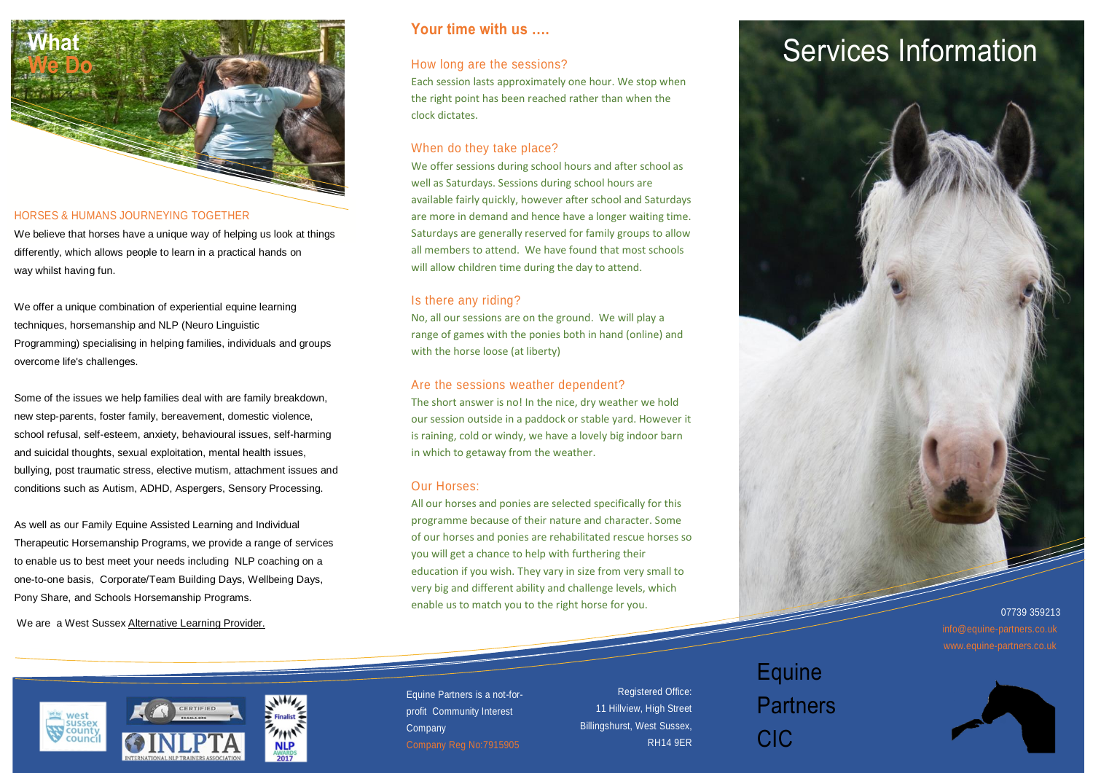

#### HORSES & HUMANS JOURNEYING TOGETHER

We believe that horses have a unique way of helping us look at things differently, which allows people to learn in a practical hands on way whilst having fun.

We offer a unique combination of experiential equine learning techniques, horsemanship and NLP (Neuro Linguistic Programming) specialising in helping families, individuals and groups overcome life's challenges.

Some of the issues we help families deal with are family breakdown, new step-parents, foster family, bereavement, domestic violence, school refusal, self-esteem, anxiety, behavioural issues, self-harming and suicidal thoughts, sexual exploitation, mental health issues, bullying, post traumatic stress, elective mutism, attachment issues and conditions such as Autism, ADHD, Aspergers, Sensory Processing.

As well as our Family Equine Assisted Learning and Individual Therapeutic Horsemanship Programs, we provide a range of services to enable us to best meet your needs including NLP coaching on a one-to-one basis, Corporate/Team Building Days, Wellbeing Days, Pony Share, and Schools Horsemanship Programs.

We are a West Sussex [Alternative](https://westsussex.local-offer.org/services/321-equine-partners-cic-alternative-provision) Learning Provider.

### **Your time with us ….**

### How long are the sessions?

Each session lasts approximately one hour. We stop when the right point has been reached rather than when the clock dictates.

### When do they take place?

We offer sessions during school hours and after school as well as Saturdays. Sessions during school hours are available fairly quickly, however after school and Saturdays are more in demand and hence have a longer waiting time. Saturdays are generally reserved for family groups to allow all members to attend. We have found that most schools will allow children time during the day to attend.

### Is there any riding?

No, all our sessions are on the ground. We will play a range of games with the ponies both in hand (online) and with the horse loose (at liberty)

#### Are the sessions weather dependent?

The short answer is no! In the nice, dry weather we hold our session outside in a paddock or stable yard. However it is raining, cold or windy, we have a lovely big indoor barn in which to getaway from the weather.

### Our Horses:

All our horses and ponies are selected specifically for this programme because of their nature and character. Some of our horses and ponies are rehabilitated rescue horses so you will get a chance to help with furthering their education if you wish. They vary in size from very small to very big and different ability and challenge levels, which enable us to match you to the right horse for you.

# **Services Information**



07739 359213 info@equine-partners.co.uk www.equine-partners.co.uk



Equine Partners is a not-forprofit Community Interest **Company** 

Registered Office: 11 Hillview, High Street Billingshurst, West Sussex, RH14 9ER

## Equine Partners CIC